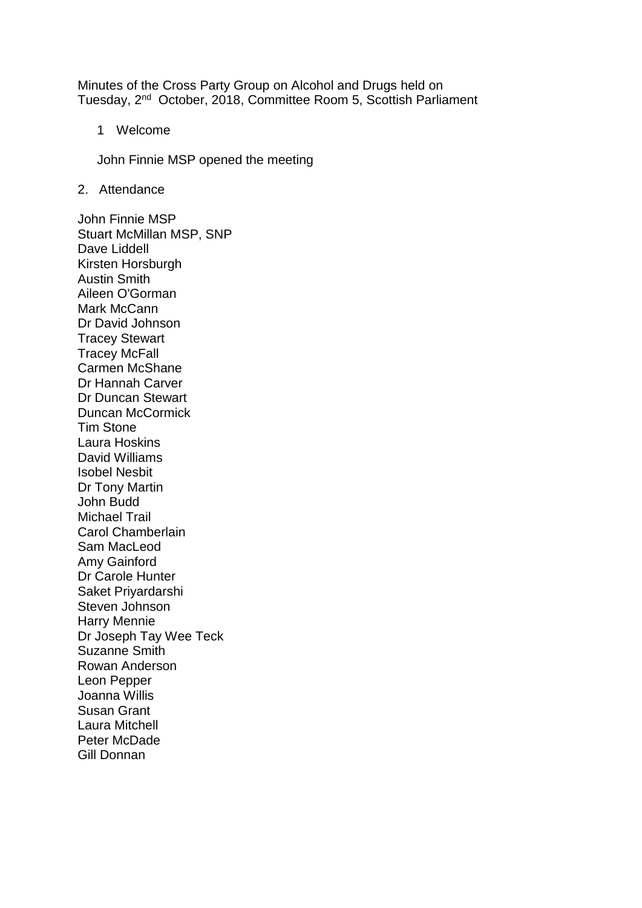Minutes of the Cross Party Group on Alcohol and Drugs held on Tuesday, 2<sup>nd</sup> October, 2018, Committee Room 5, Scottish Parliament

1 Welcome

John Finnie MSP opened the meeting

2. Attendance

John Finnie MSP Stuart McMillan MSP, SNP Dave Liddell Kirsten Horsburgh Austin Smith Aileen O'Gorman Mark McCann Dr David Johnson Tracey Stewart Tracey McFall Carmen McShane Dr Hannah Carver Dr Duncan Stewart Duncan McCormick Tim Stone Laura Hoskins David Williams Isobel Nesbit Dr Tony Martin John Budd Michael Trail Carol Chamberlain Sam MacLeod Amy Gainford Dr Carole Hunter Saket Priyardarshi Steven Johnson Harry Mennie Dr Joseph Tay Wee Teck Suzanne Smith Rowan Anderson Leon Pepper Joanna Willis Susan Grant Laura Mitchell Peter McDade Gill Donnan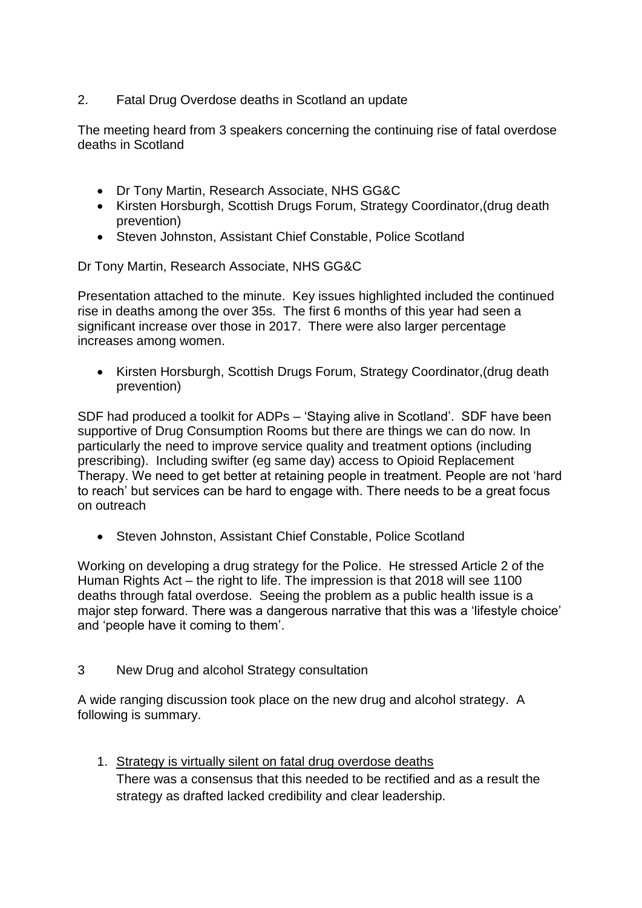# 2. Fatal Drug Overdose deaths in Scotland an update

The meeting heard from 3 speakers concerning the continuing rise of fatal overdose deaths in Scotland

- Dr Tony Martin, Research Associate, NHS GG&C
- Kirsten Horsburgh, Scottish Drugs Forum, Strategy Coordinator,(drug death prevention)
- Steven Johnston, Assistant Chief Constable, Police Scotland

Dr Tony Martin, Research Associate, NHS GG&C

Presentation attached to the minute. Key issues highlighted included the continued rise in deaths among the over 35s. The first 6 months of this year had seen a significant increase over those in 2017. There were also larger percentage increases among women.

• Kirsten Horsburgh, Scottish Drugs Forum, Strategy Coordinator,(drug death prevention)

SDF had produced a toolkit for ADPs – 'Staying alive in Scotland'. SDF have been supportive of Drug Consumption Rooms but there are things we can do now. In particularly the need to improve service quality and treatment options (including prescribing). Including swifter (eg same day) access to Opioid Replacement Therapy. We need to get better at retaining people in treatment. People are not 'hard to reach' but services can be hard to engage with. There needs to be a great focus on outreach

• Steven Johnston, Assistant Chief Constable, Police Scotland

Working on developing a drug strategy for the Police. He stressed Article 2 of the Human Rights Act – the right to life. The impression is that 2018 will see 1100 deaths through fatal overdose. Seeing the problem as a public health issue is a major step forward. There was a dangerous narrative that this was a 'lifestyle choice' and 'people have it coming to them'.

3 New Drug and alcohol Strategy consultation

A wide ranging discussion took place on the new drug and alcohol strategy. A following is summary.

1. Strategy is virtually silent on fatal drug overdose deaths There was a consensus that this needed to be rectified and as a result the strategy as drafted lacked credibility and clear leadership.